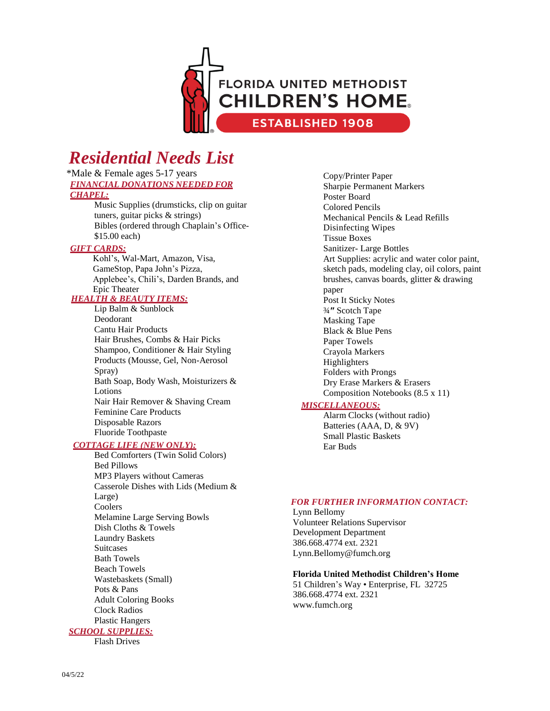

# *Residential Needs List*

#### \*Male & Female ages 5-17 years *FINANCIAL DONATIONS NEEDED FOR CHAPEL:*

Music Supplies (drumsticks, clip on guitar tuners, guitar picks & strings) Bibles (ordered through Chaplain's Office- \$15.00 each)

#### *GIFT CARDS:*

Kohl's, Wal-Mart, Amazon, Visa, GameStop, Papa John's Pizza, Applebee's, Chili's, Darden Brands, and Epic Theater

### *HEALTH & BEAUTY ITEMS:*

Lip Balm & Sunblock Deodorant Cantu Hair Products Hair Brushes, Combs & Hair Picks Shampoo, Conditioner & Hair Styling Products (Mousse, Gel, Non-Aerosol Spray) Bath Soap, Body Wash, Moisturizers & Lotions Nair Hair Remover & Shaving Cream Feminine Care Products Disposable Razors Fluoride Toothpaste

#### *COTTAGE LIFE (NEW ONLY):*

Bed Comforters (Twin Solid Colors) Bed Pillows MP3 Players without Cameras Casserole Dishes with Lids (Medium & Large) Coolers Melamine Large Serving Bowls Dish Cloths & Towels Laundry Baskets **Suitcases** Bath Towels Beach Towels Wastebaskets (Small) Pots & Pans Adult Coloring Books Clock Radios Plastic Hangers *SCHOOL SUPPLIES:*

Flash Drives

Copy/Printer Paper Sharpie Permanent Markers Poster Board Colored Pencils Mechanical Pencils & Lead Refills Disinfecting Wipes Tissue Boxes Sanitizer- Large Bottles Art Supplies: acrylic and water color paint, sketch pads, modeling clay, oil colors, paint brushes, canvas boards, glitter & drawing paper Post It Sticky Notes ¾**ʺ** Scotch Tape Masking Tape Black & Blue Pens Paper Towels Crayola Markers Highlighters Folders with Prongs Dry Erase Markers & Erasers Composition Notebooks (8.5 x 11)

### *MISCELLANEOUS:*

Alarm Clocks (without radio) Batteries (AAA, D, & 9V) Small Plastic Baskets Ear Buds

#### *FOR FURTHER INFORMATION CONTACT:*

Lynn Bellomy Volunteer Relations Supervisor Development Department 386.668.4774 ext. 2321 Lyn[n.Bellomy@fumch.org](mailto:Bellomy@fumch.org)

#### **Florida United Methodist Children's Home**

51 Children's Way • Enterprise, FL 32725 386.668.4774 ext. 2321 [www.fumch.org](http://www.fumch.org/)